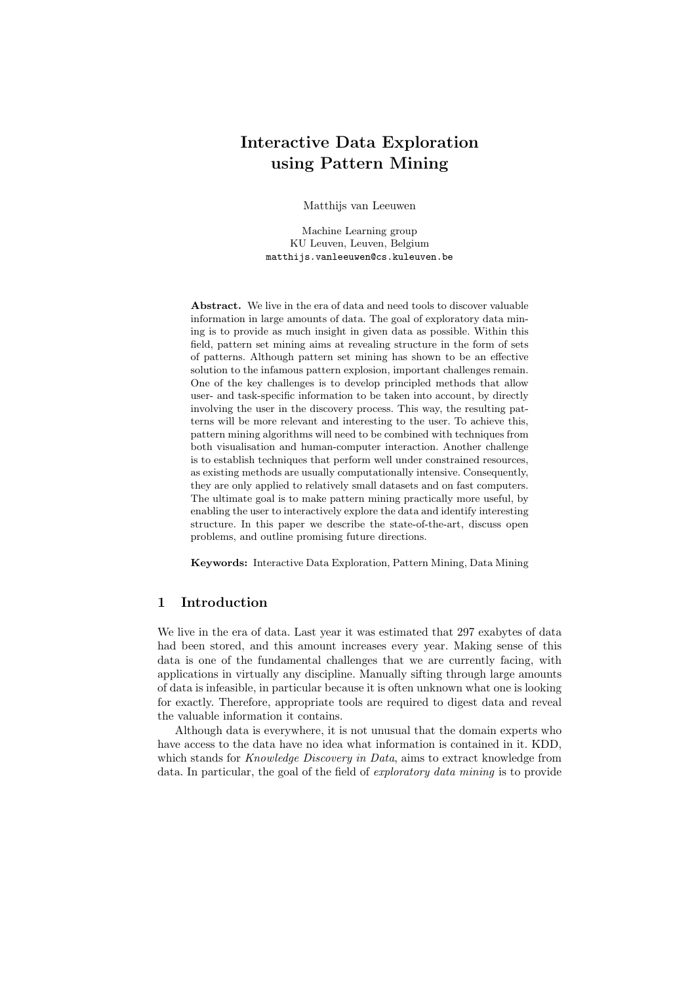# Interactive Data Exploration using Pattern Mining

Matthijs van Leeuwen

Machine Learning group KU Leuven, Leuven, Belgium matthijs.vanleeuwen@cs.kuleuven.be

Abstract. We live in the era of data and need tools to discover valuable information in large amounts of data. The goal of exploratory data mining is to provide as much insight in given data as possible. Within this field, pattern set mining aims at revealing structure in the form of sets of patterns. Although pattern set mining has shown to be an effective solution to the infamous pattern explosion, important challenges remain. One of the key challenges is to develop principled methods that allow user- and task-specific information to be taken into account, by directly involving the user in the discovery process. This way, the resulting patterns will be more relevant and interesting to the user. To achieve this, pattern mining algorithms will need to be combined with techniques from both visualisation and human-computer interaction. Another challenge is to establish techniques that perform well under constrained resources, as existing methods are usually computationally intensive. Consequently, they are only applied to relatively small datasets and on fast computers. The ultimate goal is to make pattern mining practically more useful, by enabling the user to interactively explore the data and identify interesting structure. In this paper we describe the state-of-the-art, discuss open problems, and outline promising future directions.

Keywords: Interactive Data Exploration, Pattern Mining, Data Mining

# 1 Introduction

We live in the era of data. Last year it was estimated that 297 exabytes of data had been stored, and this amount increases every year. Making sense of this data is one of the fundamental challenges that we are currently facing, with applications in virtually any discipline. Manually sifting through large amounts of data is infeasible, in particular because it is often unknown what one is looking for exactly. Therefore, appropriate tools are required to digest data and reveal the valuable information it contains.

Although data is everywhere, it is not unusual that the domain experts who have access to the data have no idea what information is contained in it. KDD, which stands for Knowledge Discovery in Data, aims to extract knowledge from data. In particular, the goal of the field of *exploratory data mining* is to provide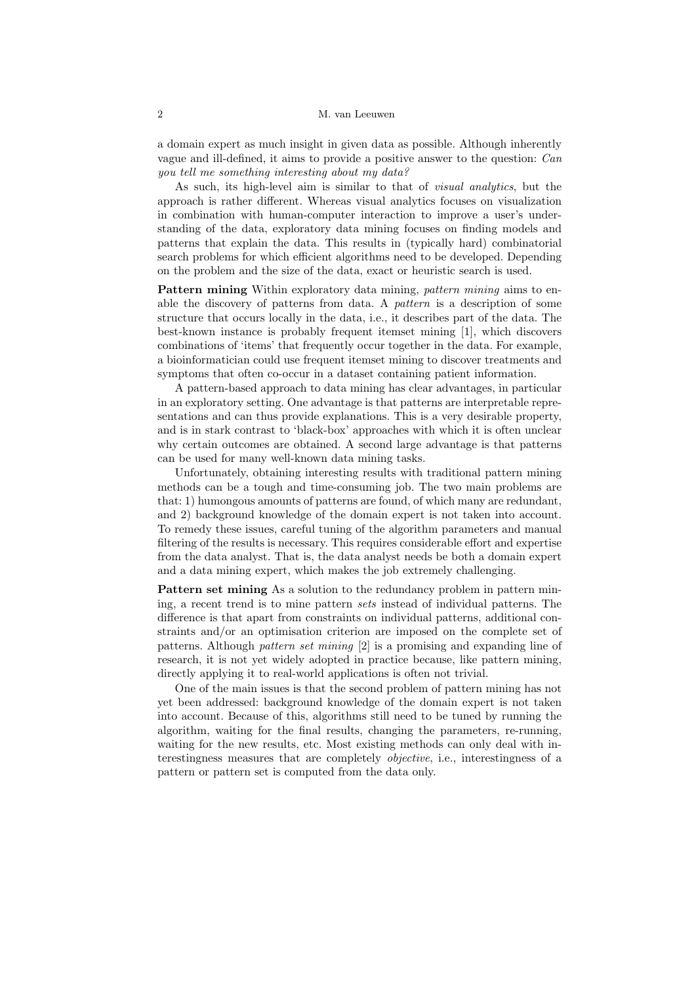a domain expert as much insight in given data as possible. Although inherently vague and ill-defined, it aims to provide a positive answer to the question: Can you tell me something interesting about my data?

As such, its high-level aim is similar to that of visual analytics, but the approach is rather different. Whereas visual analytics focuses on visualization in combination with human-computer interaction to improve a user's understanding of the data, exploratory data mining focuses on finding models and patterns that explain the data. This results in (typically hard) combinatorial search problems for which efficient algorithms need to be developed. Depending on the problem and the size of the data, exact or heuristic search is used.

Pattern mining Within exploratory data mining, pattern mining aims to enable the discovery of patterns from data. A pattern is a description of some structure that occurs locally in the data, i.e., it describes part of the data. The best-known instance is probably frequent itemset mining [1], which discovers combinations of 'items' that frequently occur together in the data. For example, a bioinformatician could use frequent itemset mining to discover treatments and symptoms that often co-occur in a dataset containing patient information.

A pattern-based approach to data mining has clear advantages, in particular in an exploratory setting. One advantage is that patterns are interpretable representations and can thus provide explanations. This is a very desirable property, and is in stark contrast to 'black-box' approaches with which it is often unclear why certain outcomes are obtained. A second large advantage is that patterns can be used for many well-known data mining tasks.

Unfortunately, obtaining interesting results with traditional pattern mining methods can be a tough and time-consuming job. The two main problems are that: 1) humongous amounts of patterns are found, of which many are redundant, and 2) background knowledge of the domain expert is not taken into account. To remedy these issues, careful tuning of the algorithm parameters and manual filtering of the results is necessary. This requires considerable effort and expertise from the data analyst. That is, the data analyst needs be both a domain expert and a data mining expert, which makes the job extremely challenging.

Pattern set mining As a solution to the redundancy problem in pattern mining, a recent trend is to mine pattern sets instead of individual patterns. The difference is that apart from constraints on individual patterns, additional constraints and/or an optimisation criterion are imposed on the complete set of patterns. Although pattern set mining [2] is a promising and expanding line of research, it is not yet widely adopted in practice because, like pattern mining, directly applying it to real-world applications is often not trivial.

One of the main issues is that the second problem of pattern mining has not yet been addressed: background knowledge of the domain expert is not taken into account. Because of this, algorithms still need to be tuned by running the algorithm, waiting for the final results, changing the parameters, re-running, waiting for the new results, etc. Most existing methods can only deal with interestingness measures that are completely objective, i.e., interestingness of a pattern or pattern set is computed from the data only.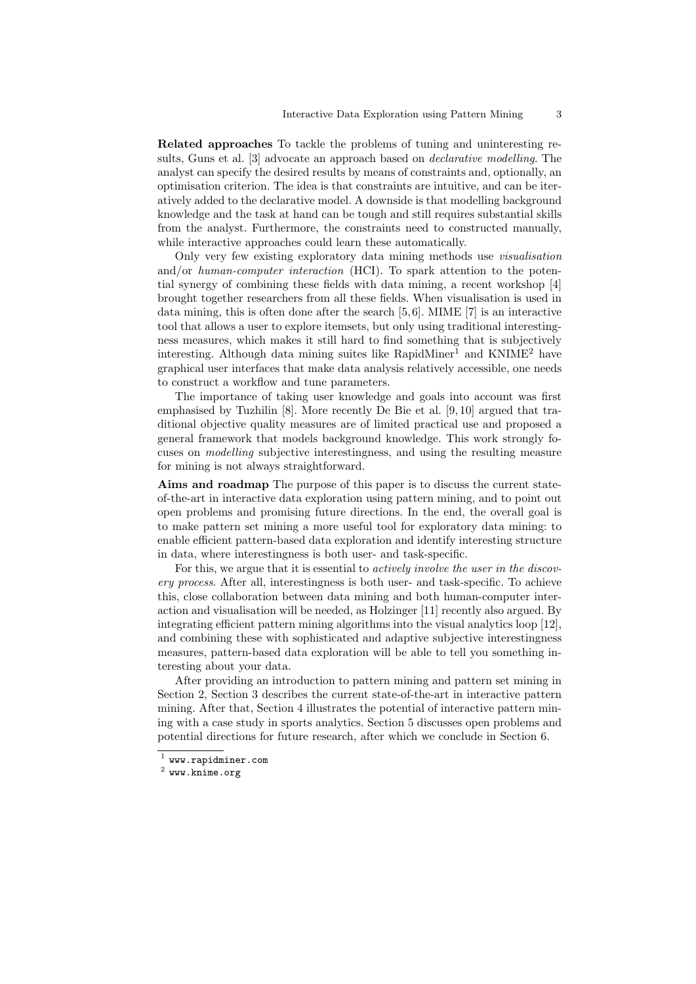Related approaches To tackle the problems of tuning and uninteresting results, Guns et al. [3] advocate an approach based on declarative modelling. The analyst can specify the desired results by means of constraints and, optionally, an optimisation criterion. The idea is that constraints are intuitive, and can be iteratively added to the declarative model. A downside is that modelling background knowledge and the task at hand can be tough and still requires substantial skills from the analyst. Furthermore, the constraints need to constructed manually, while interactive approaches could learn these automatically.

Only very few existing exploratory data mining methods use visualisation and/or human-computer interaction (HCI). To spark attention to the potential synergy of combining these fields with data mining, a recent workshop [4] brought together researchers from all these fields. When visualisation is used in data mining, this is often done after the search [5, 6]. MIME [7] is an interactive tool that allows a user to explore itemsets, but only using traditional interestingness measures, which makes it still hard to find something that is subjectively interesting. Although data mining suites like RapidMiner<sup>1</sup> and KNIME<sup>2</sup> have graphical user interfaces that make data analysis relatively accessible, one needs to construct a workflow and tune parameters.

The importance of taking user knowledge and goals into account was first emphasised by Tuzhilin [8]. More recently De Bie et al. [9, 10] argued that traditional objective quality measures are of limited practical use and proposed a general framework that models background knowledge. This work strongly focuses on modelling subjective interestingness, and using the resulting measure for mining is not always straightforward.

Aims and roadmap The purpose of this paper is to discuss the current stateof-the-art in interactive data exploration using pattern mining, and to point out open problems and promising future directions. In the end, the overall goal is to make pattern set mining a more useful tool for exploratory data mining: to enable efficient pattern-based data exploration and identify interesting structure in data, where interestingness is both user- and task-specific.

For this, we argue that it is essential to *actively involve the user in the discov*ery process. After all, interestingness is both user- and task-specific. To achieve this, close collaboration between data mining and both human-computer interaction and visualisation will be needed, as Holzinger [11] recently also argued. By integrating efficient pattern mining algorithms into the visual analytics loop [12], and combining these with sophisticated and adaptive subjective interestingness measures, pattern-based data exploration will be able to tell you something interesting about your data.

After providing an introduction to pattern mining and pattern set mining in Section 2, Section 3 describes the current state-of-the-art in interactive pattern mining. After that, Section 4 illustrates the potential of interactive pattern mining with a case study in sports analytics. Section 5 discusses open problems and potential directions for future research, after which we conclude in Section 6.

 $^1$  www.rapidminer.com

 $^2$  www.knime.org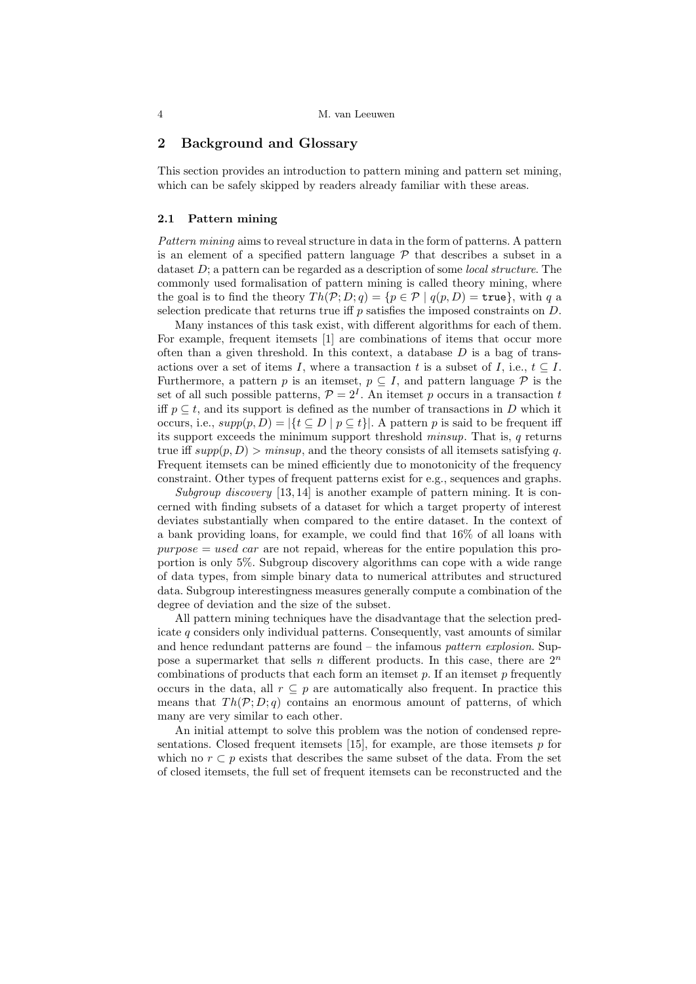# 2 Background and Glossary

This section provides an introduction to pattern mining and pattern set mining, which can be safely skipped by readers already familiar with these areas.

#### 2.1 Pattern mining

Pattern mining aims to reveal structure in data in the form of patterns. A pattern is an element of a specified pattern language  $\mathcal P$  that describes a subset in a dataset D; a pattern can be regarded as a description of some local structure. The commonly used formalisation of pattern mining is called theory mining, where the goal is to find the theory  $Th(\mathcal{P}; D; q) = \{p \in \mathcal{P} \mid q(p, D) = \text{true}\},\$  with q a selection predicate that returns true iff  $p$  satisfies the imposed constraints on  $D$ .

Many instances of this task exist, with different algorithms for each of them. For example, frequent itemsets [1] are combinations of items that occur more often than a given threshold. In this context, a database  $D$  is a bag of transactions over a set of items I, where a transaction t is a subset of I, i.e.,  $t \subseteq I$ . Furthermore, a pattern p is an itemset,  $p \subseteq I$ , and pattern language  $P$  is the set of all such possible patterns,  $\mathcal{P} = 2^I$ . An itemset p occurs in a transaction t iff  $p \subset t$ , and its support is defined as the number of transactions in D which it occurs, i.e.,  $supp(p, D) = |\{t \subseteq D \mid p \subseteq t\}|$ . A pattern p is said to be frequent iff its support exceeds the minimum support threshold minsup. That is, q returns true iff  $supp(p, D) > minsup$ , and the theory consists of all itemsets satisfying q. Frequent itemsets can be mined efficiently due to monotonicity of the frequency constraint. Other types of frequent patterns exist for e.g., sequences and graphs.

Subgroup discovery [13, 14] is another example of pattern mining. It is concerned with finding subsets of a dataset for which a target property of interest deviates substantially when compared to the entire dataset. In the context of a bank providing loans, for example, we could find that 16% of all loans with  $purpose = used \ car$  are not repaid, whereas for the entire population this proportion is only 5%. Subgroup discovery algorithms can cope with a wide range of data types, from simple binary data to numerical attributes and structured data. Subgroup interestingness measures generally compute a combination of the degree of deviation and the size of the subset.

All pattern mining techniques have the disadvantage that the selection predicate  $q$  considers only individual patterns. Consequently, vast amounts of similar and hence redundant patterns are found – the infamous pattern explosion. Suppose a supermarket that sells n different products. In this case, there are  $2^n$ combinations of products that each form an itemset  $p$ . If an itemset  $p$  frequently occurs in the data, all  $r \subseteq p$  are automatically also frequent. In practice this means that  $Th(\mathcal{P}; D; q)$  contains an enormous amount of patterns, of which many are very similar to each other.

An initial attempt to solve this problem was the notion of condensed representations. Closed frequent itemsets [15], for example, are those itemsets  $p$  for which no  $r \subset p$  exists that describes the same subset of the data. From the set of closed itemsets, the full set of frequent itemsets can be reconstructed and the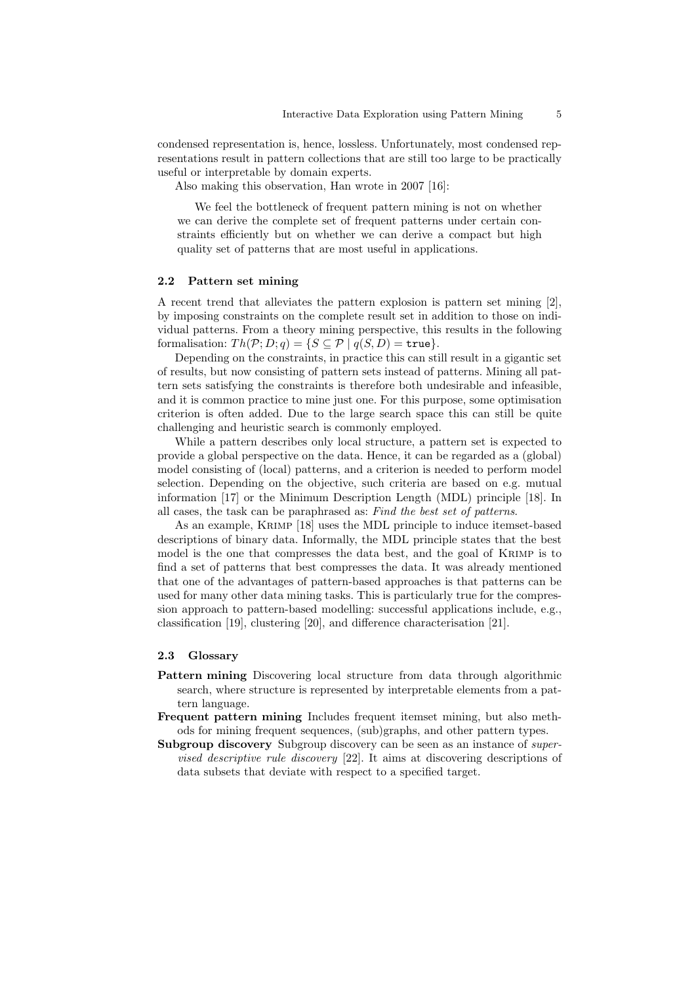condensed representation is, hence, lossless. Unfortunately, most condensed representations result in pattern collections that are still too large to be practically useful or interpretable by domain experts.

Also making this observation, Han wrote in 2007 [16]:

We feel the bottleneck of frequent pattern mining is not on whether we can derive the complete set of frequent patterns under certain constraints efficiently but on whether we can derive a compact but high quality set of patterns that are most useful in applications.

#### 2.2 Pattern set mining

A recent trend that alleviates the pattern explosion is pattern set mining [2], by imposing constraints on the complete result set in addition to those on individual patterns. From a theory mining perspective, this results in the following formalisation:  $Th(\mathcal{P}; D; q) = \{ S \subseteq \mathcal{P} \mid q(S, D) = \text{true} \}.$ 

Depending on the constraints, in practice this can still result in a gigantic set of results, but now consisting of pattern sets instead of patterns. Mining all pattern sets satisfying the constraints is therefore both undesirable and infeasible, and it is common practice to mine just one. For this purpose, some optimisation criterion is often added. Due to the large search space this can still be quite challenging and heuristic search is commonly employed.

While a pattern describes only local structure, a pattern set is expected to provide a global perspective on the data. Hence, it can be regarded as a (global) model consisting of (local) patterns, and a criterion is needed to perform model selection. Depending on the objective, such criteria are based on e.g. mutual information [17] or the Minimum Description Length (MDL) principle [18]. In all cases, the task can be paraphrased as: Find the best set of patterns.

As an example, Krimp [18] uses the MDL principle to induce itemset-based descriptions of binary data. Informally, the MDL principle states that the best model is the one that compresses the data best, and the goal of Krimp is to find a set of patterns that best compresses the data. It was already mentioned that one of the advantages of pattern-based approaches is that patterns can be used for many other data mining tasks. This is particularly true for the compression approach to pattern-based modelling: successful applications include, e.g., classification [19], clustering [20], and difference characterisation [21].

#### 2.3 Glossary

- Pattern mining Discovering local structure from data through algorithmic search, where structure is represented by interpretable elements from a pattern language.
- Frequent pattern mining Includes frequent itemset mining, but also methods for mining frequent sequences, (sub)graphs, and other pattern types.
- **Subgroup discovery** Subgroup discovery can be seen as an instance of *super*vised descriptive rule discovery [22]. It aims at discovering descriptions of data subsets that deviate with respect to a specified target.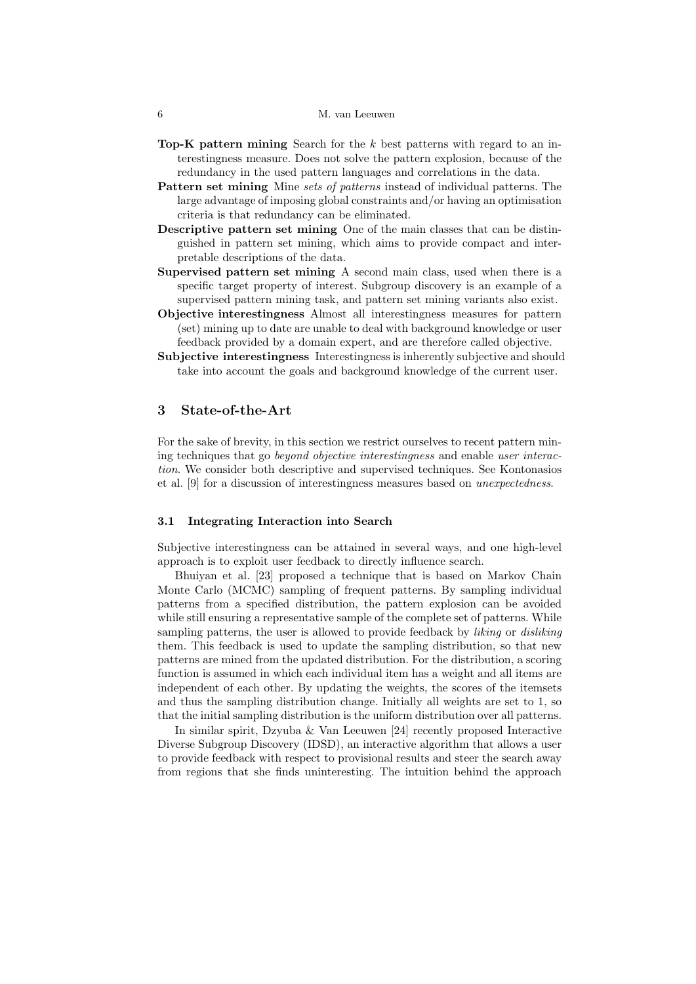- Top-K pattern mining Search for the  $k$  best patterns with regard to an interestingness measure. Does not solve the pattern explosion, because of the redundancy in the used pattern languages and correlations in the data.
- Pattern set mining Mine sets of patterns instead of individual patterns. The large advantage of imposing global constraints and/or having an optimisation criteria is that redundancy can be eliminated.
- Descriptive pattern set mining One of the main classes that can be distinguished in pattern set mining, which aims to provide compact and interpretable descriptions of the data.
- Supervised pattern set mining A second main class, used when there is a specific target property of interest. Subgroup discovery is an example of a supervised pattern mining task, and pattern set mining variants also exist.
- Objective interestingness Almost all interestingness measures for pattern (set) mining up to date are unable to deal with background knowledge or user feedback provided by a domain expert, and are therefore called objective.
- Subjective interestingness Interestingness is inherently subjective and should take into account the goals and background knowledge of the current user.

## 3 State-of-the-Art

For the sake of brevity, in this section we restrict ourselves to recent pattern mining techniques that go *beyond objective interestingness* and enable *user interac*tion. We consider both descriptive and supervised techniques. See Kontonasios et al. [9] for a discussion of interestingness measures based on unexpectedness.

## 3.1 Integrating Interaction into Search

Subjective interestingness can be attained in several ways, and one high-level approach is to exploit user feedback to directly influence search.

Bhuiyan et al. [23] proposed a technique that is based on Markov Chain Monte Carlo (MCMC) sampling of frequent patterns. By sampling individual patterns from a specified distribution, the pattern explosion can be avoided while still ensuring a representative sample of the complete set of patterns. While sampling patterns, the user is allowed to provide feedback by *liking* or *disliking* them. This feedback is used to update the sampling distribution, so that new patterns are mined from the updated distribution. For the distribution, a scoring function is assumed in which each individual item has a weight and all items are independent of each other. By updating the weights, the scores of the itemsets and thus the sampling distribution change. Initially all weights are set to 1, so that the initial sampling distribution is the uniform distribution over all patterns.

In similar spirit, Dzyuba & Van Leeuwen [24] recently proposed Interactive Diverse Subgroup Discovery (IDSD), an interactive algorithm that allows a user to provide feedback with respect to provisional results and steer the search away from regions that she finds uninteresting. The intuition behind the approach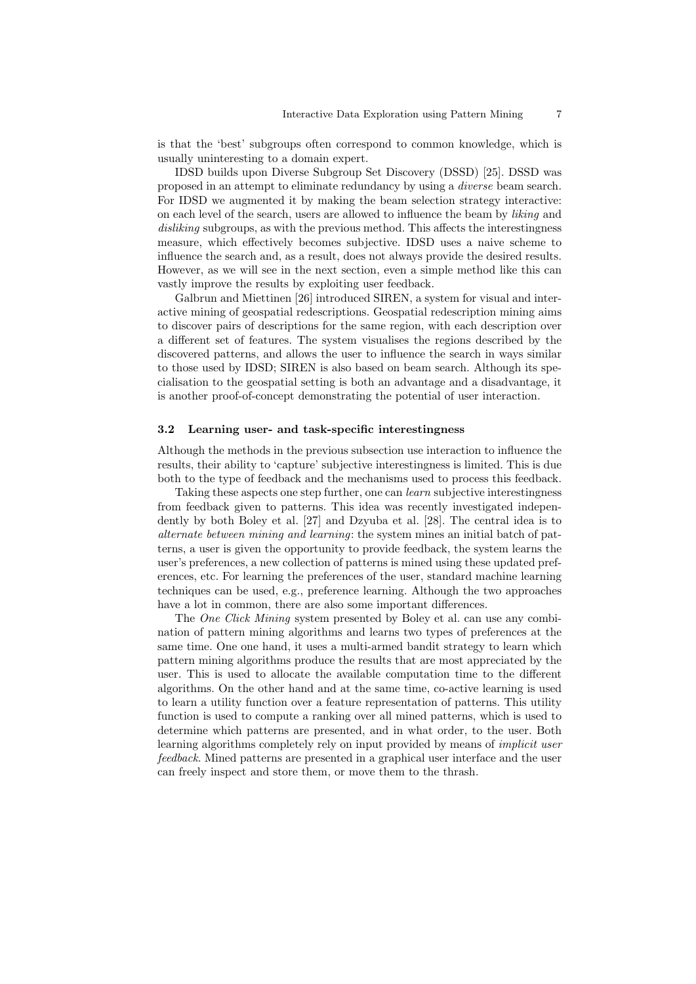is that the 'best' subgroups often correspond to common knowledge, which is usually uninteresting to a domain expert.

IDSD builds upon Diverse Subgroup Set Discovery (DSSD) [25]. DSSD was proposed in an attempt to eliminate redundancy by using a diverse beam search. For IDSD we augmented it by making the beam selection strategy interactive: on each level of the search, users are allowed to influence the beam by liking and disliking subgroups, as with the previous method. This affects the interestingness measure, which effectively becomes subjective. IDSD uses a naive scheme to influence the search and, as a result, does not always provide the desired results. However, as we will see in the next section, even a simple method like this can vastly improve the results by exploiting user feedback.

Galbrun and Miettinen [26] introduced SIREN, a system for visual and interactive mining of geospatial redescriptions. Geospatial redescription mining aims to discover pairs of descriptions for the same region, with each description over a different set of features. The system visualises the regions described by the discovered patterns, and allows the user to influence the search in ways similar to those used by IDSD; SIREN is also based on beam search. Although its specialisation to the geospatial setting is both an advantage and a disadvantage, it is another proof-of-concept demonstrating the potential of user interaction.

#### 3.2 Learning user- and task-specific interestingness

Although the methods in the previous subsection use interaction to influence the results, their ability to 'capture' subjective interestingness is limited. This is due both to the type of feedback and the mechanisms used to process this feedback.

Taking these aspects one step further, one can learn subjective interestingness from feedback given to patterns. This idea was recently investigated independently by both Boley et al. [27] and Dzyuba et al. [28]. The central idea is to alternate between mining and learning: the system mines an initial batch of patterns, a user is given the opportunity to provide feedback, the system learns the user's preferences, a new collection of patterns is mined using these updated preferences, etc. For learning the preferences of the user, standard machine learning techniques can be used, e.g., preference learning. Although the two approaches have a lot in common, there are also some important differences.

The One Click Mining system presented by Boley et al. can use any combination of pattern mining algorithms and learns two types of preferences at the same time. One one hand, it uses a multi-armed bandit strategy to learn which pattern mining algorithms produce the results that are most appreciated by the user. This is used to allocate the available computation time to the different algorithms. On the other hand and at the same time, co-active learning is used to learn a utility function over a feature representation of patterns. This utility function is used to compute a ranking over all mined patterns, which is used to determine which patterns are presented, and in what order, to the user. Both learning algorithms completely rely on input provided by means of implicit user feedback. Mined patterns are presented in a graphical user interface and the user can freely inspect and store them, or move them to the thrash.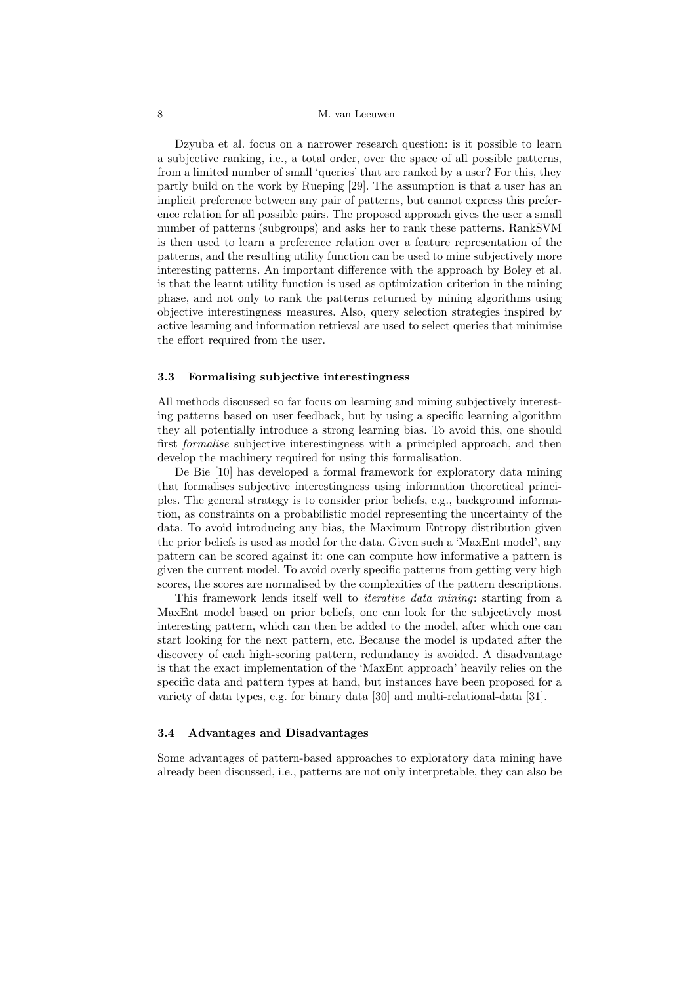Dzyuba et al. focus on a narrower research question: is it possible to learn a subjective ranking, i.e., a total order, over the space of all possible patterns, from a limited number of small 'queries' that are ranked by a user? For this, they partly build on the work by Rueping [29]. The assumption is that a user has an implicit preference between any pair of patterns, but cannot express this preference relation for all possible pairs. The proposed approach gives the user a small number of patterns (subgroups) and asks her to rank these patterns. RankSVM is then used to learn a preference relation over a feature representation of the patterns, and the resulting utility function can be used to mine subjectively more interesting patterns. An important difference with the approach by Boley et al. is that the learnt utility function is used as optimization criterion in the mining phase, and not only to rank the patterns returned by mining algorithms using objective interestingness measures. Also, query selection strategies inspired by active learning and information retrieval are used to select queries that minimise the effort required from the user.

#### 3.3 Formalising subjective interestingness

All methods discussed so far focus on learning and mining subjectively interesting patterns based on user feedback, but by using a specific learning algorithm they all potentially introduce a strong learning bias. To avoid this, one should first *formalise* subjective interestingness with a principled approach, and then develop the machinery required for using this formalisation.

De Bie [10] has developed a formal framework for exploratory data mining that formalises subjective interestingness using information theoretical principles. The general strategy is to consider prior beliefs, e.g., background information, as constraints on a probabilistic model representing the uncertainty of the data. To avoid introducing any bias, the Maximum Entropy distribution given the prior beliefs is used as model for the data. Given such a 'MaxEnt model', any pattern can be scored against it: one can compute how informative a pattern is given the current model. To avoid overly specific patterns from getting very high scores, the scores are normalised by the complexities of the pattern descriptions.

This framework lends itself well to iterative data mining: starting from a MaxEnt model based on prior beliefs, one can look for the subjectively most interesting pattern, which can then be added to the model, after which one can start looking for the next pattern, etc. Because the model is updated after the discovery of each high-scoring pattern, redundancy is avoided. A disadvantage is that the exact implementation of the 'MaxEnt approach' heavily relies on the specific data and pattern types at hand, but instances have been proposed for a variety of data types, e.g. for binary data [30] and multi-relational-data [31].

#### 3.4 Advantages and Disadvantages

Some advantages of pattern-based approaches to exploratory data mining have already been discussed, i.e., patterns are not only interpretable, they can also be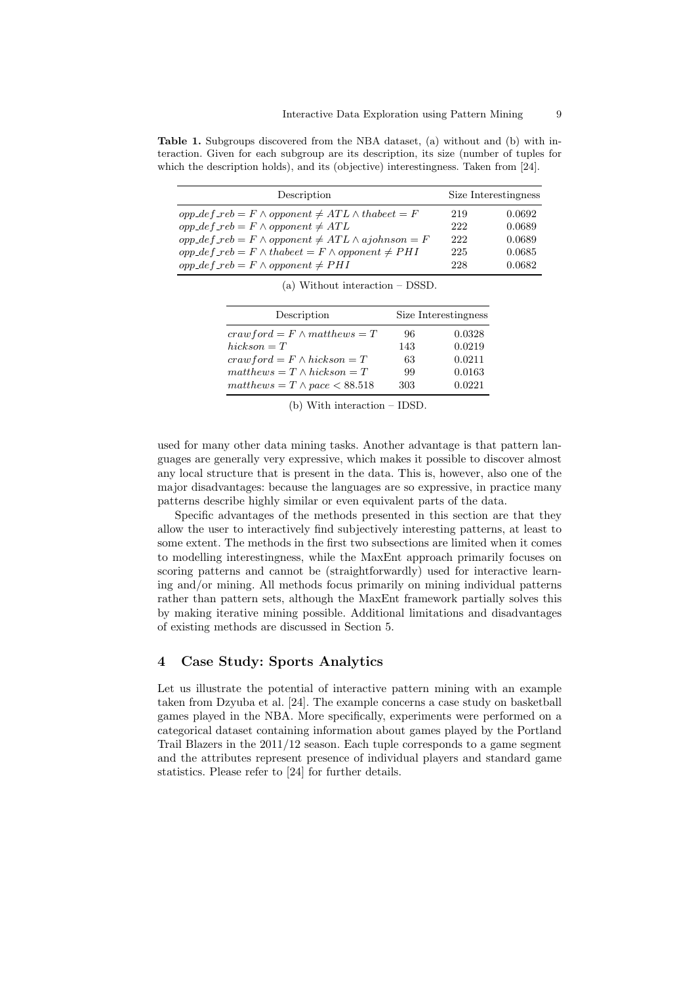Table 1. Subgroups discovered from the NBA dataset, (a) without and (b) with interaction. Given for each subgroup are its description, its size (number of tuples for which the description holds), and its (objective) interestingness. Taken from [24].

| Description                                                      | Size Interestingness |        |
|------------------------------------------------------------------|----------------------|--------|
| $opp\_def\_reb = F \wedge opponent \neq ATL \wedge thabet = F$   | 219                  | 0.0692 |
| $opp\_def\_reb = F \wedge opponent \neq ATL$                     | 222                  | 0.0689 |
| $opp\_def\_reb = F \wedge opponent \neq ATL \wedge ajohnson = F$ | 222                  | 0.0689 |
| $opp\_def\_reb = F \wedge thabet = F \wedge opponent \neq PHI$   | 225                  | 0.0685 |
| $opp\_def\_reb = F \wedge opponent \neq PHI$                     | 228                  | 0.0682 |

| Description                        |     | Size Interestingness |
|------------------------------------|-----|----------------------|
| $crawford = F \wedge matthews = T$ | 96  | 0.0328               |
| $hickson = T$                      | 143 | 0.0219               |
| $crawford = F \wedge hickson = T$  | 63  | 0.0211               |
| $mathews = T \wedge hickson = T$   | 99  | 0.0163               |
| $mathews = T \wedge pace < 88.518$ | 303 | 0.0221               |

(a) Without interaction – DSSD.

(b) With interaction – IDSD.

used for many other data mining tasks. Another advantage is that pattern languages are generally very expressive, which makes it possible to discover almost any local structure that is present in the data. This is, however, also one of the major disadvantages: because the languages are so expressive, in practice many patterns describe highly similar or even equivalent parts of the data.

Specific advantages of the methods presented in this section are that they allow the user to interactively find subjectively interesting patterns, at least to some extent. The methods in the first two subsections are limited when it comes to modelling interestingness, while the MaxEnt approach primarily focuses on scoring patterns and cannot be (straightforwardly) used for interactive learning and/or mining. All methods focus primarily on mining individual patterns rather than pattern sets, although the MaxEnt framework partially solves this by making iterative mining possible. Additional limitations and disadvantages of existing methods are discussed in Section 5.

# 4 Case Study: Sports Analytics

Let us illustrate the potential of interactive pattern mining with an example taken from Dzyuba et al. [24]. The example concerns a case study on basketball games played in the NBA. More specifically, experiments were performed on a categorical dataset containing information about games played by the Portland Trail Blazers in the 2011/12 season. Each tuple corresponds to a game segment and the attributes represent presence of individual players and standard game statistics. Please refer to [24] for further details.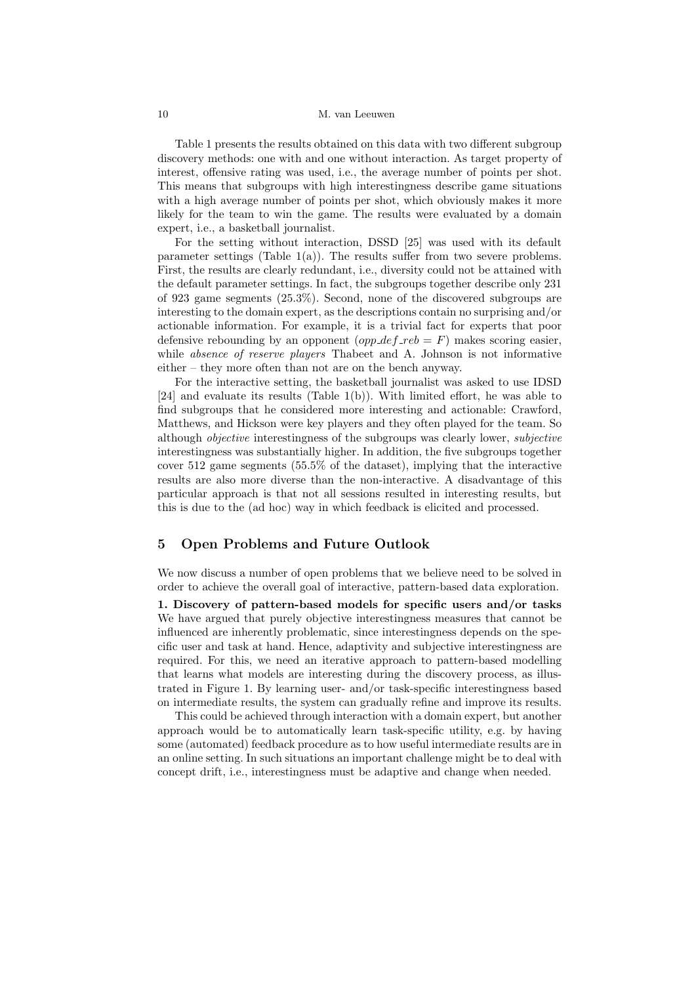Table 1 presents the results obtained on this data with two different subgroup discovery methods: one with and one without interaction. As target property of interest, offensive rating was used, i.e., the average number of points per shot. This means that subgroups with high interestingness describe game situations with a high average number of points per shot, which obviously makes it more likely for the team to win the game. The results were evaluated by a domain expert, i.e., a basketball journalist.

For the setting without interaction, DSSD [25] was used with its default parameter settings (Table  $1(a)$ ). The results suffer from two severe problems. First, the results are clearly redundant, i.e., diversity could not be attained with the default parameter settings. In fact, the subgroups together describe only 231 of 923 game segments (25.3%). Second, none of the discovered subgroups are interesting to the domain expert, as the descriptions contain no surprising and/or actionable information. For example, it is a trivial fact for experts that poor defensive rebounding by an opponent  $(opp\_def\_reb = F)$  makes scoring easier, while *absence of reserve players* Thabeet and A. Johnson is not informative either – they more often than not are on the bench anyway.

For the interactive setting, the basketball journalist was asked to use IDSD [24] and evaluate its results (Table 1(b)). With limited effort, he was able to find subgroups that he considered more interesting and actionable: Crawford, Matthews, and Hickson were key players and they often played for the team. So although objective interestingness of the subgroups was clearly lower, subjective interestingness was substantially higher. In addition, the five subgroups together cover 512 game segments (55.5% of the dataset), implying that the interactive results are also more diverse than the non-interactive. A disadvantage of this particular approach is that not all sessions resulted in interesting results, but this is due to the (ad hoc) way in which feedback is elicited and processed.

## 5 Open Problems and Future Outlook

We now discuss a number of open problems that we believe need to be solved in order to achieve the overall goal of interactive, pattern-based data exploration.

1. Discovery of pattern-based models for specific users and/or tasks We have argued that purely objective interestingness measures that cannot be influenced are inherently problematic, since interestingness depends on the specific user and task at hand. Hence, adaptivity and subjective interestingness are required. For this, we need an iterative approach to pattern-based modelling that learns what models are interesting during the discovery process, as illustrated in Figure 1. By learning user- and/or task-specific interestingness based on intermediate results, the system can gradually refine and improve its results.

This could be achieved through interaction with a domain expert, but another approach would be to automatically learn task-specific utility, e.g. by having some (automated) feedback procedure as to how useful intermediate results are in an online setting. In such situations an important challenge might be to deal with concept drift, i.e., interestingness must be adaptive and change when needed.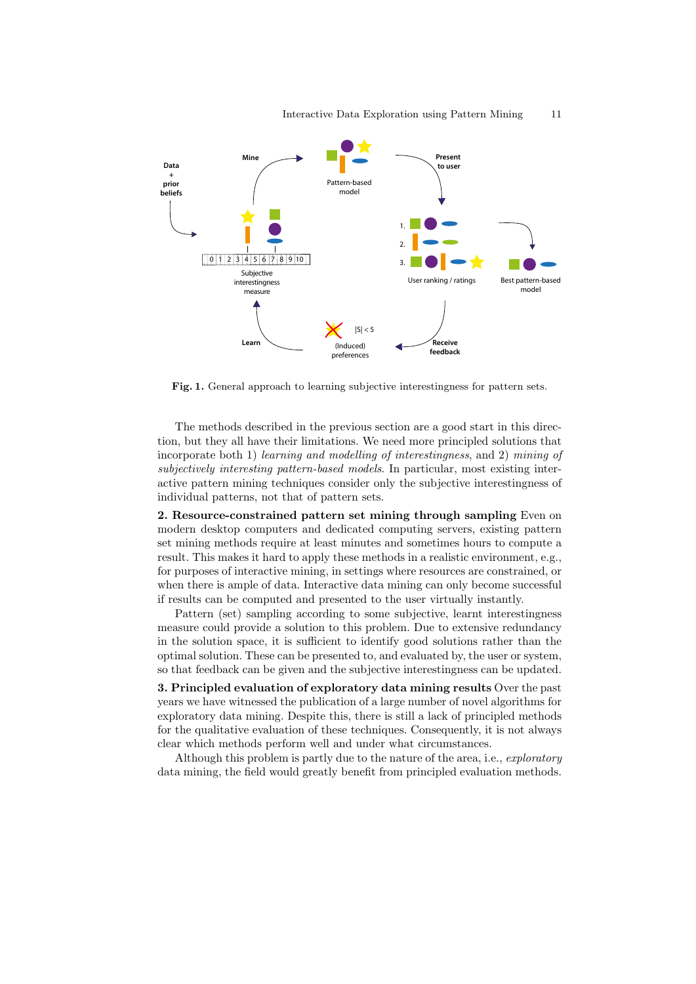

Fig. 1. General approach to learning subjective interestingness for pattern sets.

The methods described in the previous section are a good start in this direction, but they all have their limitations. We need more principled solutions that incorporate both 1) learning and modelling of interestingness, and 2) mining of subjectively interesting pattern-based models. In particular, most existing interactive pattern mining techniques consider only the subjective interestingness of individual patterns, not that of pattern sets.

2. Resource-constrained pattern set mining through sampling Even on modern desktop computers and dedicated computing servers, existing pattern set mining methods require at least minutes and sometimes hours to compute a result. This makes it hard to apply these methods in a realistic environment, e.g., for purposes of interactive mining, in settings where resources are constrained, or when there is ample of data. Interactive data mining can only become successful if results can be computed and presented to the user virtually instantly.

Pattern (set) sampling according to some subjective, learnt interestingness measure could provide a solution to this problem. Due to extensive redundancy in the solution space, it is sufficient to identify good solutions rather than the optimal solution. These can be presented to, and evaluated by, the user or system, so that feedback can be given and the subjective interestingness can be updated.

3. Principled evaluation of exploratory data mining results Over the past years we have witnessed the publication of a large number of novel algorithms for exploratory data mining. Despite this, there is still a lack of principled methods for the qualitative evaluation of these techniques. Consequently, it is not always clear which methods perform well and under what circumstances.

Although this problem is partly due to the nature of the area, i.e., exploratory data mining, the field would greatly benefit from principled evaluation methods.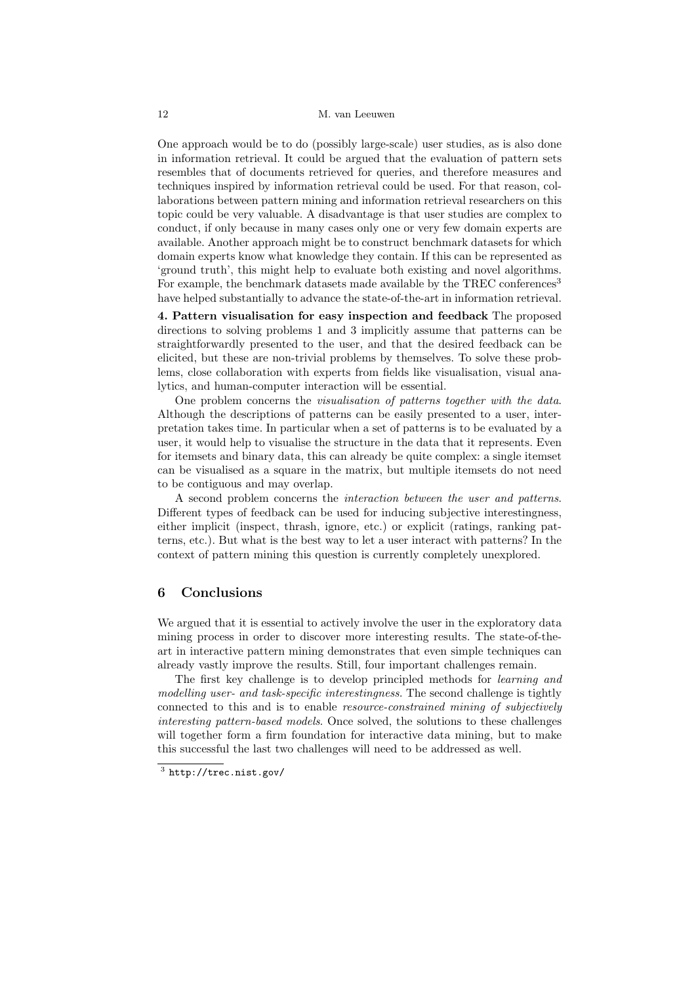One approach would be to do (possibly large-scale) user studies, as is also done in information retrieval. It could be argued that the evaluation of pattern sets resembles that of documents retrieved for queries, and therefore measures and techniques inspired by information retrieval could be used. For that reason, collaborations between pattern mining and information retrieval researchers on this topic could be very valuable. A disadvantage is that user studies are complex to conduct, if only because in many cases only one or very few domain experts are available. Another approach might be to construct benchmark datasets for which domain experts know what knowledge they contain. If this can be represented as 'ground truth', this might help to evaluate both existing and novel algorithms. For example, the benchmark datasets made available by the TREC conferences<sup>3</sup> have helped substantially to advance the state-of-the-art in information retrieval.

4. Pattern visualisation for easy inspection and feedback The proposed directions to solving problems 1 and 3 implicitly assume that patterns can be straightforwardly presented to the user, and that the desired feedback can be elicited, but these are non-trivial problems by themselves. To solve these problems, close collaboration with experts from fields like visualisation, visual analytics, and human-computer interaction will be essential.

One problem concerns the visualisation of patterns together with the data. Although the descriptions of patterns can be easily presented to a user, interpretation takes time. In particular when a set of patterns is to be evaluated by a user, it would help to visualise the structure in the data that it represents. Even for itemsets and binary data, this can already be quite complex: a single itemset can be visualised as a square in the matrix, but multiple itemsets do not need to be contiguous and may overlap.

A second problem concerns the interaction between the user and patterns. Different types of feedback can be used for inducing subjective interestingness, either implicit (inspect, thrash, ignore, etc.) or explicit (ratings, ranking patterns, etc.). But what is the best way to let a user interact with patterns? In the context of pattern mining this question is currently completely unexplored.

# 6 Conclusions

We argued that it is essential to actively involve the user in the exploratory data mining process in order to discover more interesting results. The state-of-theart in interactive pattern mining demonstrates that even simple techniques can already vastly improve the results. Still, four important challenges remain.

The first key challenge is to develop principled methods for learning and modelling user- and task-specific interestingness. The second challenge is tightly connected to this and is to enable resource-constrained mining of subjectively interesting pattern-based models. Once solved, the solutions to these challenges will together form a firm foundation for interactive data mining, but to make this successful the last two challenges will need to be addressed as well.

 $3$  http://trec.nist.gov/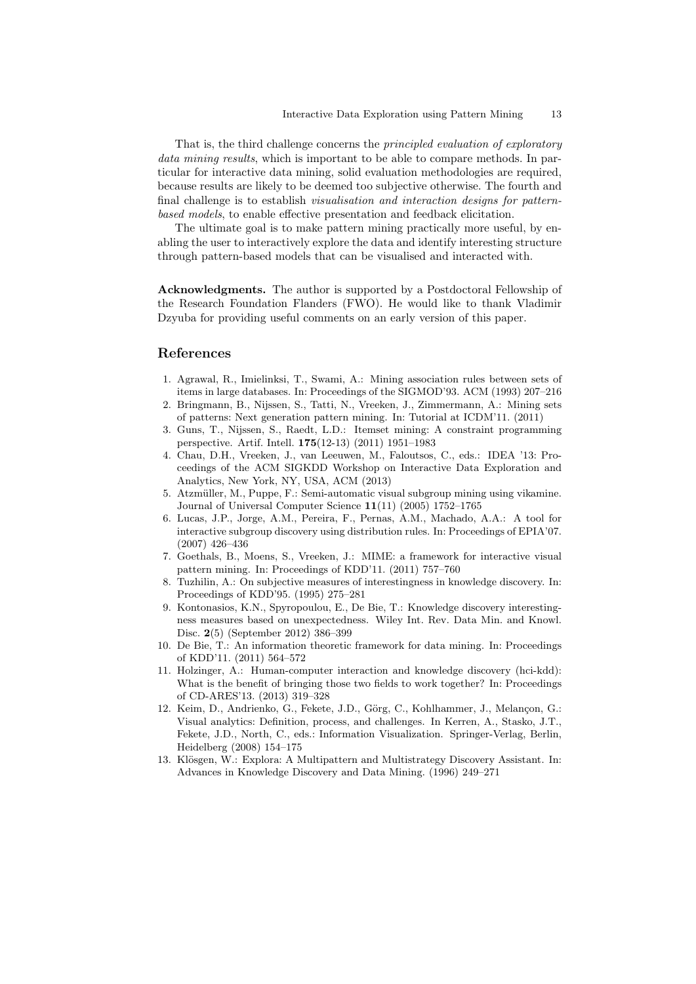That is, the third challenge concerns the principled evaluation of exploratory data mining results, which is important to be able to compare methods. In particular for interactive data mining, solid evaluation methodologies are required, because results are likely to be deemed too subjective otherwise. The fourth and final challenge is to establish visualisation and interaction designs for patternbased models, to enable effective presentation and feedback elicitation.

The ultimate goal is to make pattern mining practically more useful, by enabling the user to interactively explore the data and identify interesting structure through pattern-based models that can be visualised and interacted with.

Acknowledgments. The author is supported by a Postdoctoral Fellowship of the Research Foundation Flanders (FWO). He would like to thank Vladimir Dzyuba for providing useful comments on an early version of this paper.

# References

- 1. Agrawal, R., Imielinksi, T., Swami, A.: Mining association rules between sets of items in large databases. In: Proceedings of the SIGMOD'93. ACM (1993) 207–216
- 2. Bringmann, B., Nijssen, S., Tatti, N., Vreeken, J., Zimmermann, A.: Mining sets of patterns: Next generation pattern mining. In: Tutorial at ICDM'11. (2011)
- 3. Guns, T., Nijssen, S., Raedt, L.D.: Itemset mining: A constraint programming perspective. Artif. Intell. 175(12-13) (2011) 1951–1983
- 4. Chau, D.H., Vreeken, J., van Leeuwen, M., Faloutsos, C., eds.: IDEA '13: Proceedings of the ACM SIGKDD Workshop on Interactive Data Exploration and Analytics, New York, NY, USA, ACM (2013)
- 5. Atzmüller, M., Puppe, F.: Semi-automatic visual subgroup mining using vikamine. Journal of Universal Computer Science 11(11) (2005) 1752–1765
- 6. Lucas, J.P., Jorge, A.M., Pereira, F., Pernas, A.M., Machado, A.A.: A tool for interactive subgroup discovery using distribution rules. In: Proceedings of EPIA'07. (2007) 426–436
- 7. Goethals, B., Moens, S., Vreeken, J.: MIME: a framework for interactive visual pattern mining. In: Proceedings of KDD'11. (2011) 757–760
- 8. Tuzhilin, A.: On subjective measures of interestingness in knowledge discovery. In: Proceedings of KDD'95. (1995) 275–281
- 9. Kontonasios, K.N., Spyropoulou, E., De Bie, T.: Knowledge discovery interestingness measures based on unexpectedness. Wiley Int. Rev. Data Min. and Knowl. Disc. 2(5) (September 2012) 386–399
- 10. De Bie, T.: An information theoretic framework for data mining. In: Proceedings of KDD'11. (2011) 564–572
- 11. Holzinger, A.: Human-computer interaction and knowledge discovery (hci-kdd): What is the benefit of bringing those two fields to work together? In: Proceedings of CD-ARES'13. (2013) 319–328
- 12. Keim, D., Andrienko, G., Fekete, J.D., Görg, C., Kohlhammer, J., Melançon, G.: Visual analytics: Definition, process, and challenges. In Kerren, A., Stasko, J.T., Fekete, J.D., North, C., eds.: Information Visualization. Springer-Verlag, Berlin, Heidelberg (2008) 154–175
- 13. Klösgen, W.: Explora: A Multipattern and Multistrategy Discovery Assistant. In: Advances in Knowledge Discovery and Data Mining. (1996) 249–271